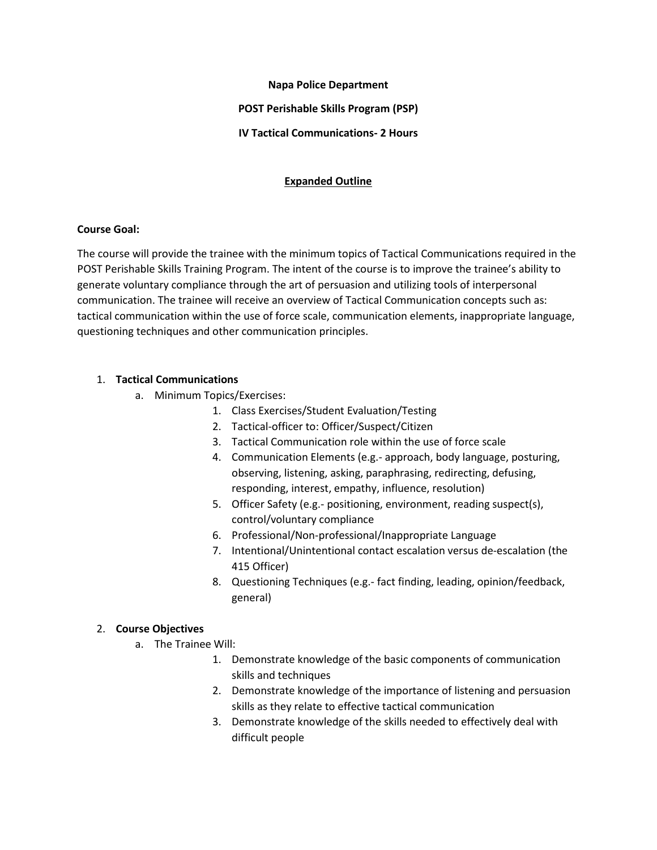# **Napa Police Department POST Perishable Skills Program (PSP) IV Tactical Communications- 2 Hours**

# **Expanded Outline**

# **Course Goal:**

The course will provide the trainee with the minimum topics of Tactical Communications required in the POST Perishable Skills Training Program. The intent of the course is to improve the trainee's ability to generate voluntary compliance through the art of persuasion and utilizing tools of interpersonal communication. The trainee will receive an overview of Tactical Communication concepts such as: tactical communication within the use of force scale, communication elements, inappropriate language, questioning techniques and other communication principles.

# 1. **Tactical Communications**

- a. Minimum Topics/Exercises:
	- 1. Class Exercises/Student Evaluation/Testing
	- 2. Tactical-officer to: Officer/Suspect/Citizen
	- 3. Tactical Communication role within the use of force scale
	- 4. Communication Elements (e.g.- approach, body language, posturing, observing, listening, asking, paraphrasing, redirecting, defusing, responding, interest, empathy, influence, resolution)
	- 5. Officer Safety (e.g.- positioning, environment, reading suspect(s), control/voluntary compliance
	- 6. Professional/Non-professional/Inappropriate Language
	- 7. Intentional/Unintentional contact escalation versus de-escalation (the 415 Officer)
	- 8. Questioning Techniques (e.g.- fact finding, leading, opinion/feedback, general)

# 2. **Course Objectives**

- a. The Trainee Will:
	- 1. Demonstrate knowledge of the basic components of communication skills and techniques
	- 2. Demonstrate knowledge of the importance of listening and persuasion skills as they relate to effective tactical communication
	- 3. Demonstrate knowledge of the skills needed to effectively deal with difficult people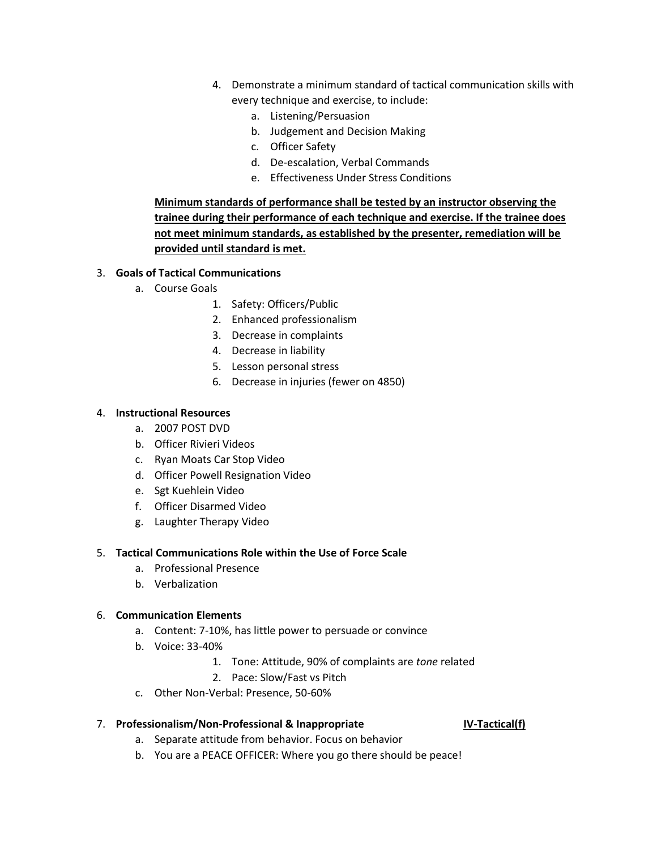- 4. Demonstrate a minimum standard of tactical communication skills with every technique and exercise, to include:
	- a. Listening/Persuasion
	- b. Judgement and Decision Making
	- c. Officer Safety
	- d. De-escalation, Verbal Commands
	- e. Effectiveness Under Stress Conditions

**Minimum standards of performance shall be tested by an instructor observing the trainee during their performance of each technique and exercise. If the trainee does not meet minimum standards, as established by the presenter, remediation will be provided until standard is met.**

# 3. **Goals of Tactical Communications**

- a. Course Goals
	- 1. Safety: Officers/Public
	- 2. Enhanced professionalism
	- 3. Decrease in complaints
	- 4. Decrease in liability
	- 5. Lesson personal stress
	- 6. Decrease in injuries (fewer on 4850)

### 4. **Instructional Resources**

- a. 2007 POST DVD
- b. Officer Rivieri Videos
- c. Ryan Moats Car Stop Video
- d. Officer Powell Resignation Video
- e. Sgt Kuehlein Video
- f. Officer Disarmed Video
- g. Laughter Therapy Video

#### 5. **Tactical Communications Role within the Use of Force Scale**

- a. Professional Presence
- b. Verbalization

# 6. **Communication Elements**

- a. Content: 7-10%, has little power to persuade or convince
- b. Voice: 33-40%
	- 1. Tone: Attitude, 90% of complaints are *tone* related
	- 2. Pace: Slow/Fast vs Pitch
- c. Other Non-Verbal: Presence, 50-60%

# 7. **Professionalism/Non-Professional & Inappropriate IV-Tactical(f)**

- a. Separate attitude from behavior. Focus on behavior
- b. You are a PEACE OFFICER: Where you go there should be peace!